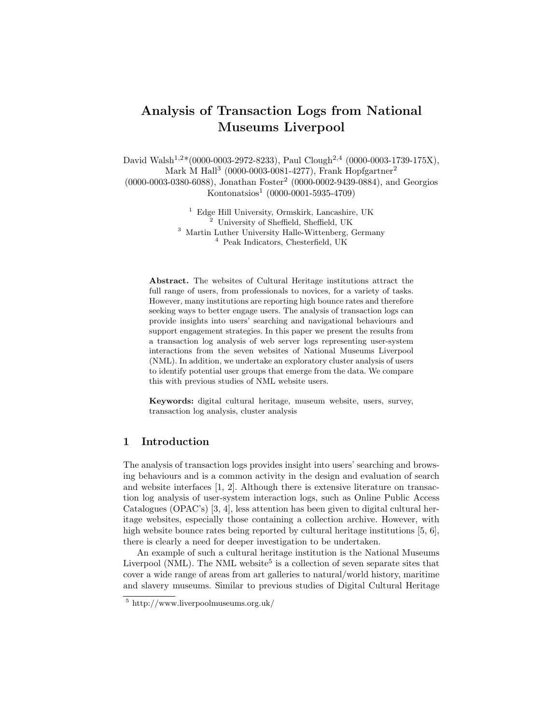# Analysis of Transaction Logs from National Museums Liverpool

David Walsh<sup>1,2\*</sup>(0000-0003-2972-8233), Paul Clough<sup>2,4</sup> (0000-0003-1739-175X), Mark M Hall<sup>3</sup> (0000-0003-0081-4277), Frank Hopfgartner<sup>2</sup> (0000-0003-0380-6088), Jonathan Foster<sup>2</sup> (0000-0002-9439-0884), and Georgios Kontonatsios<sup>1</sup> (0000-0001-5935-4709)

> Edge Hill University, Ormskirk, Lancashire, UK University of Sheffield, Sheffield, UK Martin Luther University Halle-Wittenberg, Germany Peak Indicators, Chesterfield, UK

Abstract. The websites of Cultural Heritage institutions attract the full range of users, from professionals to novices, for a variety of tasks. However, many institutions are reporting high bounce rates and therefore seeking ways to better engage users. The analysis of transaction logs can provide insights into users' searching and navigational behaviours and support engagement strategies. In this paper we present the results from a transaction log analysis of web server logs representing user-system interactions from the seven websites of National Museums Liverpool (NML). In addition, we undertake an exploratory cluster analysis of users to identify potential user groups that emerge from the data. We compare this with previous studies of NML website users.

Keywords: digital cultural heritage, museum website, users, survey, transaction log analysis, cluster analysis

# 1 Introduction

The analysis of transaction logs provides insight into users' searching and browsing behaviours and is a common activity in the design and evaluation of search and website interfaces [1, 2]. Although there is extensive literature on transaction log analysis of user-system interaction logs, such as Online Public Access Catalogues (OPAC's) [3, 4], less attention has been given to digital cultural heritage websites, especially those containing a collection archive. However, with high website bounce rates being reported by cultural heritage institutions [5, 6]. there is clearly a need for deeper investigation to be undertaken.

An example of such a cultural heritage institution is the National Museums Liverpool (NML). The NML website<sup>5</sup> is a collection of seven separate sites that cover a wide range of areas from art galleries to natural/world history, maritime and slavery museums. Similar to previous studies of Digital Cultural Heritage

<sup>5</sup> http://www.liverpoolmuseums.org.uk/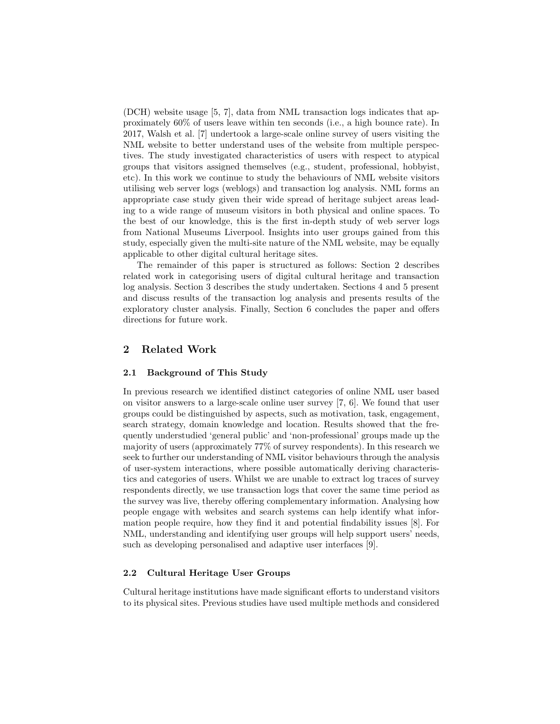(DCH) website usage [5, 7], data from NML transaction logs indicates that approximately 60% of users leave within ten seconds (i.e., a high bounce rate). In 2017, Walsh et al. [7] undertook a large-scale online survey of users visiting the NML website to better understand uses of the website from multiple perspectives. The study investigated characteristics of users with respect to atypical groups that visitors assigned themselves (e.g., student, professional, hobbyist, etc). In this work we continue to study the behaviours of NML website visitors utilising web server logs (weblogs) and transaction log analysis. NML forms an appropriate case study given their wide spread of heritage subject areas leading to a wide range of museum visitors in both physical and online spaces. To the best of our knowledge, this is the first in-depth study of web server logs from National Museums Liverpool. Insights into user groups gained from this study, especially given the multi-site nature of the NML website, may be equally applicable to other digital cultural heritage sites.

The remainder of this paper is structured as follows: Section 2 describes related work in categorising users of digital cultural heritage and transaction log analysis. Section 3 describes the study undertaken. Sections 4 and 5 present and discuss results of the transaction log analysis and presents results of the exploratory cluster analysis. Finally, Section 6 concludes the paper and offers directions for future work.

# 2 Related Work

## 2.1 Background of This Study

In previous research we identified distinct categories of online NML user based on visitor answers to a large-scale online user survey  $[7, 6]$ . We found that user groups could be distinguished by aspects, such as motivation, task, engagement, search strategy, domain knowledge and location. Results showed that the frequently understudied 'general public' and 'non-professional' groups made up the majority of users (approximately 77% of survey respondents). In this research we seek to further our understanding of NML visitor behaviours through the analysis of user-system interactions, where possible automatically deriving characteristics and categories of users. Whilst we are unable to extract log traces of survey respondents directly, we use transaction logs that cover the same time period as the survey was live, thereby offering complementary information. Analysing how people engage with websites and search systems can help identify what information people require, how they find it and potential findability issues [8]. For NML, understanding and identifying user groups will help support users' needs, such as developing personalised and adaptive user interfaces [9].

# 2.2 Cultural Heritage User Groups

Cultural heritage institutions have made significant efforts to understand visitors to its physical sites. Previous studies have used multiple methods and considered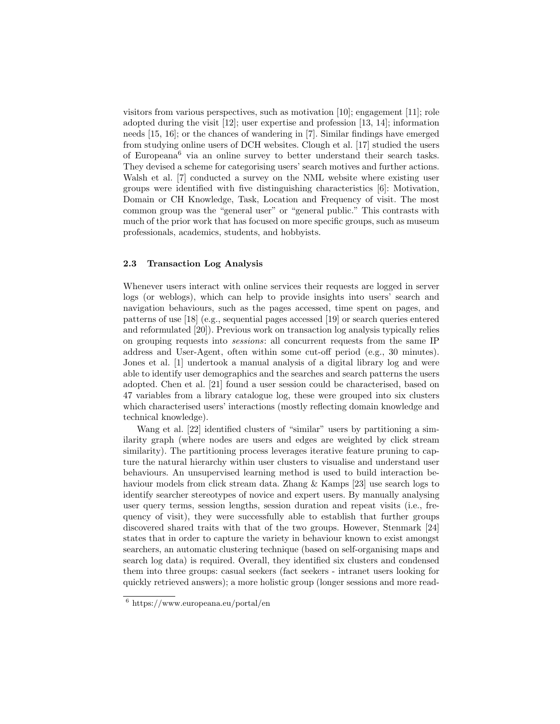visitors from various perspectives, such as motivation [10]; engagement [11]; role adopted during the visit [12]; user expertise and profession [13, 14]; information needs [15, 16]; or the chances of wandering in [7]. Similar findings have emerged from studying online users of DCH websites. Clough et al. [17] studied the users of Europeana<sup>6</sup> via an online survey to better understand their search tasks. They devised a scheme for categorising users' search motives and further actions. Walsh et al. [7] conducted a survey on the NML website where existing user groups were identified with five distinguishing characteristics [6]: Motivation, Domain or CH Knowledge, Task, Location and Frequency of visit. The most common group was the "general user" or "general public." This contrasts with much of the prior work that has focused on more specific groups, such as museum professionals, academics, students, and hobbyists.

# 2.3 Transaction Log Analysis

Whenever users interact with online services their requests are logged in server logs (or weblogs), which can help to provide insights into users' search and navigation behaviours, such as the pages accessed, time spent on pages, and patterns of use [18] (e.g., sequential pages accessed [19] or search queries entered and reformulated [20]). Previous work on transaction log analysis typically relies on grouping requests into sessions: all concurrent requests from the same IP address and User-Agent, often within some cut-off period (e.g., 30 minutes). Jones et al. [1] undertook a manual analysis of a digital library log and were able to identify user demographics and the searches and search patterns the users adopted. Chen et al. [21] found a user session could be characterised, based on 47 variables from a library catalogue log, these were grouped into six clusters which characterised users' interactions (mostly reflecting domain knowledge and technical knowledge).

Wang et al. [22] identified clusters of "similar" users by partitioning a similarity graph (where nodes are users and edges are weighted by click stream similarity). The partitioning process leverages iterative feature pruning to capture the natural hierarchy within user clusters to visualise and understand user behaviours. An unsupervised learning method is used to build interaction behaviour models from click stream data. Zhang & Kamps [23] use search logs to identify searcher stereotypes of novice and expert users. By manually analysing user query terms, session lengths, session duration and repeat visits (i.e., frequency of visit), they were successfully able to establish that further groups discovered shared traits with that of the two groups. However, Stenmark [24] states that in order to capture the variety in behaviour known to exist amongst searchers, an automatic clustering technique (based on self-organising maps and search log data) is required. Overall, they identified six clusters and condensed them into three groups: casual seekers (fact seekers - intranet users looking for quickly retrieved answers); a more holistic group (longer sessions and more read-

<sup>6</sup> https://www.europeana.eu/portal/en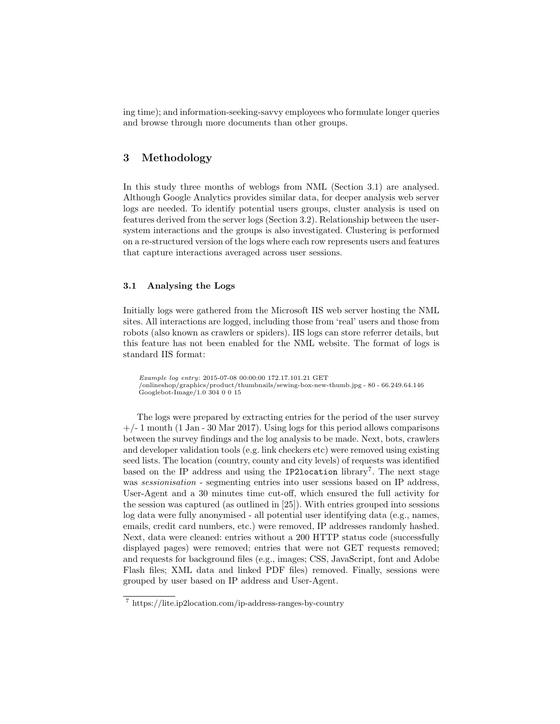ing time); and information-seeking-savvy employees who formulate longer queries and browse through more documents than other groups.

# 3 Methodology

In this study three months of weblogs from NML (Section 3.1) are analysed. Although Google Analytics provides similar data, for deeper analysis web server logs are needed. To identify potential users groups, cluster analysis is used on features derived from the server logs (Section 3.2). Relationship between the usersystem interactions and the groups is also investigated. Clustering is performed on a re-structured version of the logs where each row represents users and features that capture interactions averaged across user sessions.

# 3.1 Analysing the Logs

Initially logs were gathered from the Microsoft IIS web server hosting the NML sites. All interactions are logged, including those from 'real' users and those from robots (also known as crawlers or spiders). IIS logs can store referrer details, but this feature has not been enabled for the NML website. The format of logs is standard IIS format:

```
Example log entry: 2015-07-08 00:00:00 172.17.101.21 GET
/onlineshop/graphics/product/thumbnails/sewing-box-new-thumb.jpg - 80 - 66.249.64.146
Googlebot-Image/1.0 304 0 0 15
```
The logs were prepared by extracting entries for the period of the user survey  $+/- 1$  month (1 Jan - 30 Mar 2017). Using logs for this period allows comparisons between the survey findings and the log analysis to be made. Next, bots, crawlers and developer validation tools (e.g. link checkers etc) were removed using existing seed lists. The location (country, county and city levels) of requests was identified based on the IP address and using the IP21ocation library<sup>7</sup>. The next stage was *sessionisation* - segmenting entries into user sessions based on IP address, User-Agent and a 30 minutes time cut-off, which ensured the full activity for the session was captured (as outlined in [25]). With entries grouped into sessions log data were fully anonymised - all potential user identifying data (e.g., names, emails, credit card numbers, etc.) were removed, IP addresses randomly hashed. Next, data were cleaned: entries without a 200 HTTP status code (successfully displayed pages) were removed; entries that were not GET requests removed; and requests for background files (e.g., images; CSS, JavaScript, font and Adobe Flash files; XML data and linked PDF files) removed. Finally, sessions were grouped by user based on IP address and User-Agent.

<sup>7</sup> https://lite.ip2location.com/ip-address-ranges-by-country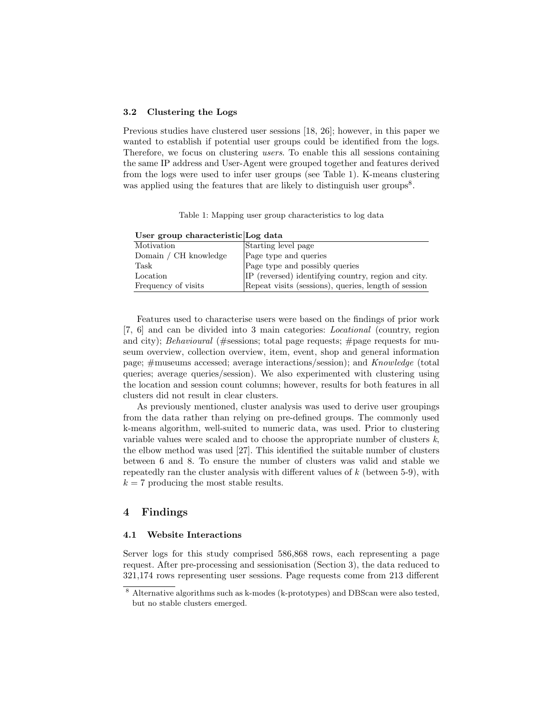### 3.2 Clustering the Logs

Previous studies have clustered user sessions [18, 26]; however, in this paper we wanted to establish if potential user groups could be identified from the logs. Therefore, we focus on clustering users. To enable this all sessions containing the same IP address and User-Agent were grouped together and features derived from the logs were used to infer user groups (see Table 1). K-means clustering was applied using the features that are likely to distinguish user groups<sup>8</sup>.

Table 1: Mapping user group characteristics to log data

| User group characteristic Log data |                                                      |
|------------------------------------|------------------------------------------------------|
| Motivation                         | Starting level page                                  |
| Domain / CH knowledge              | Page type and queries                                |
| Task                               | Page type and possibly queries                       |
| Location                           | IP (reversed) identifying country, region and city.  |
| Frequency of visits                | Repeat visits (sessions), queries, length of session |

Features used to characterise users were based on the findings of prior work [7, 6] and can be divided into 3 main categories: Locational (country, region and city); Behavioural (#sessions; total page requests; #page requests for museum overview, collection overview, item, event, shop and general information page; #museums accessed; average interactions/session); and Knowledge (total queries; average queries/session). We also experimented with clustering using the location and session count columns; however, results for both features in all

As previously mentioned, cluster analysis was used to derive user groupings from the data rather than relying on pre-defined groups. The commonly used k-means algorithm, well-suited to numeric data, was used. Prior to clustering variable values were scaled and to choose the appropriate number of clusters  $k$ , the elbow method was used [27]. This identified the suitable number of clusters between 6 and 8. To ensure the number of clusters was valid and stable we repeatedly ran the cluster analysis with different values of  $k$  (between 5-9), with  $k = 7$  producing the most stable results.

# 4 Findings

#### 4.1 Website Interactions

clusters did not result in clear clusters.

Server logs for this study comprised 586,868 rows, each representing a page request. After pre-processing and sessionisation (Section 3), the data reduced to 321,174 rows representing user sessions. Page requests come from 213 different

<sup>8</sup> Alternative algorithms such as k-modes (k-prototypes) and DBScan were also tested, but no stable clusters emerged.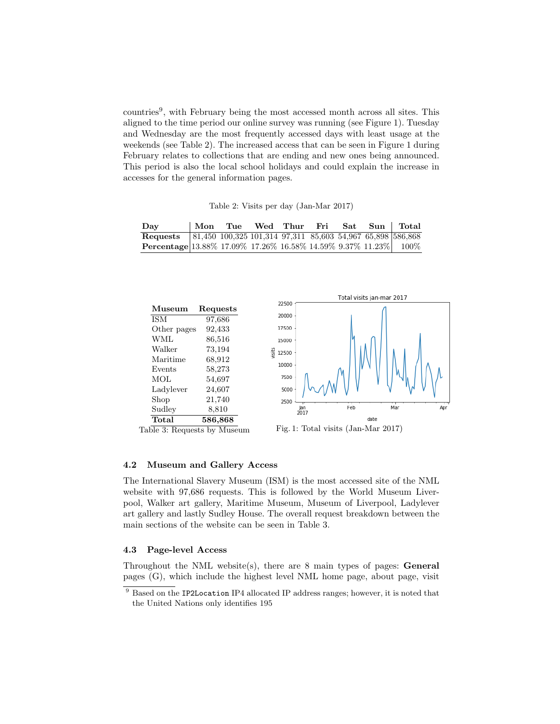countries<sup>9</sup> , with February being the most accessed month across all sites. This aligned to the time period our online survey was running (see Figure 1). Tuesday and Wednesday are the most frequently accessed days with least usage at the weekends (see Table 2). The increased access that can be seen in Figure 1 during February relates to collections that are ending and new ones being announced. This period is also the local school holidays and could explain the increase in accesses for the general information pages.

Table 2: Visits per day (Jan-Mar 2017)

| Day                                                                        | Mon | Tue | Wed | Thur | Fri | Sat | Sun   Total |
|----------------------------------------------------------------------------|-----|-----|-----|------|-----|-----|-------------|
| <b>Requests</b> 81,450 100,325 101,314 97,311 85,603 54,967 65,898 586,868 |     |     |     |      |     |     |             |
| <b>Percentage</b> 13.88% 17.09% 17.26% 16.58% 14.59% 9.37% 11.23% 100%     |     |     |     |      |     |     |             |





Apr

### 4.2 Museum and Gallery Access

The International Slavery Museum (ISM) is the most accessed site of the NML website with 97,686 requests. This is followed by the World Museum Liverpool, Walker art gallery, Maritime Museum, Museum of Liverpool, Ladylever art gallery and lastly Sudley House. The overall request breakdown between the main sections of the website can be seen in Table 3.

### 4.3 Page-level Access

Throughout the NML website(s), there are 8 main types of pages: General pages (G), which include the highest level NML home page, about page, visit

<sup>&</sup>lt;sup>9</sup> Based on the IP2Location IP4 allocated IP address ranges; however, it is noted that the United Nations only identifies 195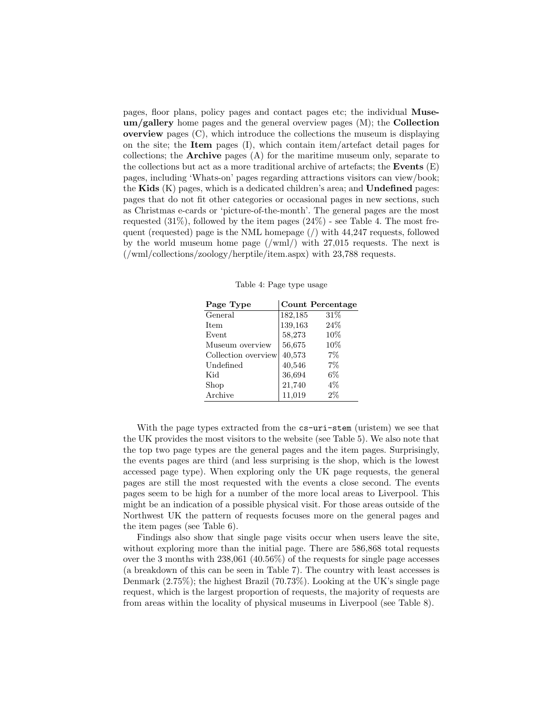pages, floor plans, policy pages and contact pages etc; the individual Muse $um/gallerv$  home pages and the general overview pages  $(M)$ ; the **Collection overview** pages  $(C)$ , which introduce the collections the museum is displaying on the site; the Item pages (I), which contain item/artefact detail pages for collections; the Archive pages (A) for the maritime museum only, separate to the collections but act as a more traditional archive of artefacts; the **Events**  $(E)$ pages, including 'Whats-on' pages regarding attractions visitors can view/book; the Kids  $(K)$  pages, which is a dedicated children's area; and Undefined pages: pages that do not fit other categories or occasional pages in new sections, such as Christmas e-cards or 'picture-of-the-month'. The general pages are the most requested  $(31\%)$ , followed by the item pages  $(24\%)$  - see Table 4. The most frequent (requested) page is the NML homepage (/) with 44,247 requests, followed by the world museum home page (/wml/) with 27,015 requests. The next is (/wml/collections/zoology/herptile/item.aspx) with 23,788 requests.

Table 4: Page type usage

| Page Type           |         | <b>Count Percentage</b> |
|---------------------|---------|-------------------------|
| General             | 182,185 | 31%                     |
| <b>Item</b>         | 139,163 | 24\%                    |
| Event               | 58,273  | 10%                     |
| Museum overview     | 56,675  | 10%                     |
| Collection overview | 40,573  | 7%                      |
| Undefined           | 40,546  | 7%                      |
| Kid                 | 36,694  | $6\%$                   |
| Shop                | 21,740  | $4\%$                   |
| Archive             | 11,019  | $2\%$                   |

With the page types extracted from the  $cs$ -uri-stem (uristem) we see that the UK provides the most visitors to the website (see Table 5). We also note that the top two page types are the general pages and the item pages. Surprisingly, the events pages are third (and less surprising is the shop, which is the lowest accessed page type). When exploring only the UK page requests, the general pages are still the most requested with the events a close second. The events pages seem to be high for a number of the more local areas to Liverpool. This might be an indication of a possible physical visit. For those areas outside of the Northwest UK the pattern of requests focuses more on the general pages and the item pages (see Table 6).

Findings also show that single page visits occur when users leave the site, without exploring more than the initial page. There are  $586,868$  total requests over the 3 months with 238,061 (40.56%) of the requests for single page accesses (a breakdown of this can be seen in Table 7). The country with least accesses is Denmark (2.75%); the highest Brazil (70.73%). Looking at the UK's single page request, which is the largest proportion of requests, the majority of requests are from areas within the locality of physical museums in Liverpool (see Table 8).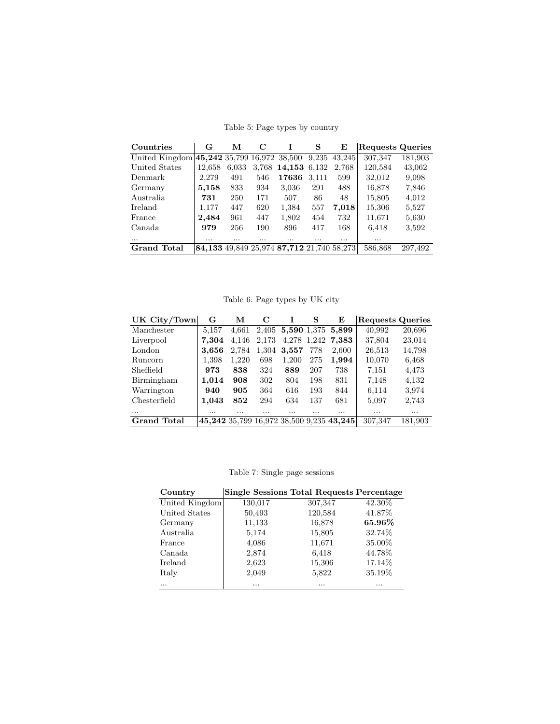| Countries                                      | G        | м     | C     | I                                         | S     | E      | <b>Requests Queries</b> |         |
|------------------------------------------------|----------|-------|-------|-------------------------------------------|-------|--------|-------------------------|---------|
| United Kingdom 45, 242 35, 799 16, 972 38, 500 |          |       |       |                                           | 9,235 | 43,245 | 307,347                 | 181,903 |
| United States                                  | 12.658   | 6.033 | 3,768 | 14,153 6,132                              |       | 2.768  | 120,584                 | 43,062  |
| Denmark                                        | 2,279    | 491   | 546   | 17636                                     | 3.111 | 599    | 32,012                  | 9,098   |
| Germany                                        | 5,158    | 833   | 934   | 3,036                                     | 291   | 488    | 16,878                  | 7,846   |
| Australia                                      | 731      | 250   | 171   | 507                                       | 86    | 48     | 15,805                  | 4.012   |
| Ireland                                        | 1,177    | 447   | 620   | 1,384                                     | 557   | 7,018  | 15,306                  | 5,527   |
| France                                         | 2,484    | 961   | 447   | 1,802                                     | 454   | 732    | 11,671                  | 5,630   |
| Canada                                         | 979      | 256   | 190   | 896                                       | 417   | 168    | 6,418                   | 3,592   |
| $\cdots$                                       | $\cdots$ |       | .     |                                           | .     | .      |                         |         |
| <b>Grand Total</b>                             |          |       |       | 84,133 49,849 25,974 87,712 21,740 58,273 |       |        | 586,868                 | 297,492 |

Table 5: Page types by country

Table 6: Page types by UK city

| UK City/Town     | G     | М     | C     | Ι     | s   | E                                        | <b>Requests Queries</b> |          |
|------------------|-------|-------|-------|-------|-----|------------------------------------------|-------------------------|----------|
| Manchester       | 5.157 | 4.661 | 2,405 |       |     | 5,590 1,375 5,899                        | 40,992                  | 20,696   |
| Liverpool        | 7.304 | 4,146 | 2,173 |       |     | 4,278 1,242 7,383                        | 37,804                  | 23,014   |
| London           | 3.656 | 2,784 | 1,304 | 3,557 | 778 | 2.600                                    | 26,513                  | 14,798   |
| <b>Runcorn</b>   | 1,398 | 1.220 | 698   | 1,200 | 275 | 1.994                                    | 10,070                  | 6,468    |
| <b>Sheffield</b> | 973   | 838   | 324   | 889   | 207 | 738                                      | 7,151                   | 4,473    |
| Birmingham       | 1,014 | 908   | 302   | 804   | 198 | 831                                      | 7,148                   | 4,132    |
| Warrington       | 940   | 905   | 364   | 616   | 193 | 844                                      | 6,114                   | 3.974    |
| Chesterfield     | 1,043 | 852   | 294   | 634   | 137 | 681                                      | 5,097                   | 2,743    |
| $\cdots$         |       |       | .     | .     |     |                                          | $\cdots$                | $\cdots$ |
| Grand Total      |       |       |       |       |     | 45,242 35,799 16,972 38,500 9,235 43,245 | 307,347                 | 181,903  |

Table 7: Single page sessions

| Country        |         | <b>Single Sessions Total Requests Percentage</b> |         |
|----------------|---------|--------------------------------------------------|---------|
| United Kingdom | 130,017 | 307,347                                          | 42.30%  |
| United States  | 50,493  | 120,584                                          | 41.87%  |
| Germany        | 11,133  | 16,878                                           | 65.96%  |
| Australia      | 5,174   | 15,805                                           | 32.74%  |
| France         | 4,086   | 11,671                                           | 35.00%  |
| Canada         | 2,874   | 6,418                                            | 44.78%  |
| <b>Ireland</b> | 2,623   | 15,306                                           | 17.14\% |
| Italy          | 2,049   | 5,822                                            | 35.19%  |
|                |         | .                                                |         |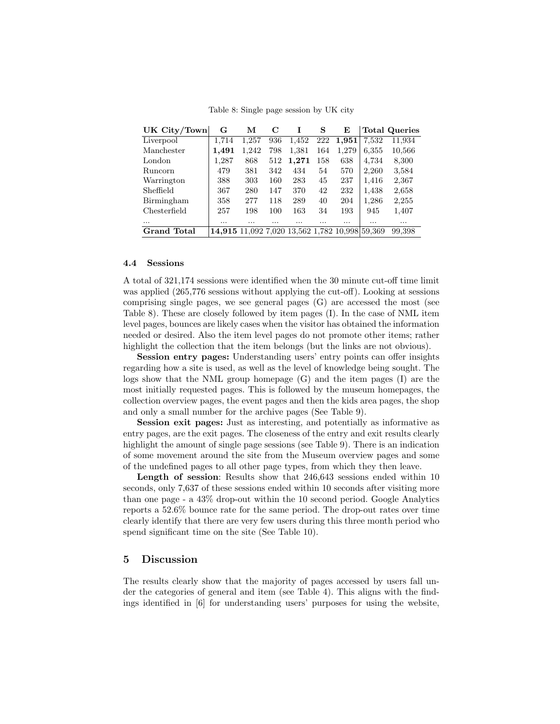Table 8: Single page session by UK city

| UK City/Town   | G                                              | м        | C   | Ι        | S   | E     |          | <b>Total Queries</b> |
|----------------|------------------------------------------------|----------|-----|----------|-----|-------|----------|----------------------|
| Liverpool      | 1,714                                          | 1,257    | 936 | 1,452    | 222 | 1,951 | 7,532    | 11,934               |
| Manchester     | 1,491                                          | 1.242    | 798 | 1,381    | 164 | 1.279 | 6,355    | 10,566               |
| London         | 1,287                                          | 868      | 512 | 1,271    | 158 | 638   | 4,734    | 8,300                |
| <b>Runcorn</b> | 479                                            | 381      | 342 | 434      | 54  | 570   | 2,260    | 3,584                |
| Warrington     | 388                                            | 303      | 160 | 283      | 45  | 237   | 1,416    | 2,367                |
| Sheffield      | 367                                            | 280      | 147 | 370      | 42  | 232   | 1,438    | 2,658                |
| Birmingham     | 358                                            | 277      | 118 | 289      | 40  | 204   | 1,286    | 2,255                |
| Chesterfield   | 257                                            | 198      | 100 | 163      | 34  | 193   | 945      | 1,407                |
| $\cdots$       |                                                | $\cdots$ |     | $\cdots$ | .   |       | $\cdots$ |                      |
| Grand Total    | 14,915 11,092 7,020 13,562 1,782 10,998 59,369 |          |     |          |     |       |          | 99,398               |

### 4.4 Sessions

A total of 321,174 sessions were identified when the 30 minute cut-off time limit was applied (265,776 sessions without applying the cut-off). Looking at sessions comprising single pages, we see general pages (G) are accessed the most (see Table 8). These are closely followed by item pages (I). In the case of NML item level pages, bounces are likely cases when the visitor has obtained the information needed or desired. Also the item level pages do not promote other items; rather highlight the collection that the item belongs (but the links are not obvious).

Session entry pages: Understanding users' entry points can offer insights regarding how a site is used, as well as the level of knowledge being sought. The logs show that the NML group homepage (G) and the item pages (I) are the most initially requested pages. This is followed by the museum homepages, the collection overview pages, the event pages and then the kids area pages, the shop and only a small number for the archive pages (See Table 9).

Session exit pages: Just as interesting, and potentially as informative as entry pages, are the exit pages. The closeness of the entry and exit results clearly highlight the amount of single page sessions (see Table 9). There is an indication of some movement around the site from the Museum overview pages and some of the undefined pages to all other page types, from which they then leave.

Length of session: Results show that 246,643 sessions ended within 10 seconds, only 7,637 of these sessions ended within 10 seconds after visiting more than one page - a 43% drop-out within the 10 second period. Google Analytics reports a 52.6% bounce rate for the same period. The drop-out rates over time clearly identify that there are very few users during this three month period who spend significant time on the site (See Table 10).

# 5 Discussion

The results clearly show that the majority of pages accessed by users fall under the categories of general and item (see Table 4). This aligns with the findings identified in [6] for understanding users' purposes for using the website,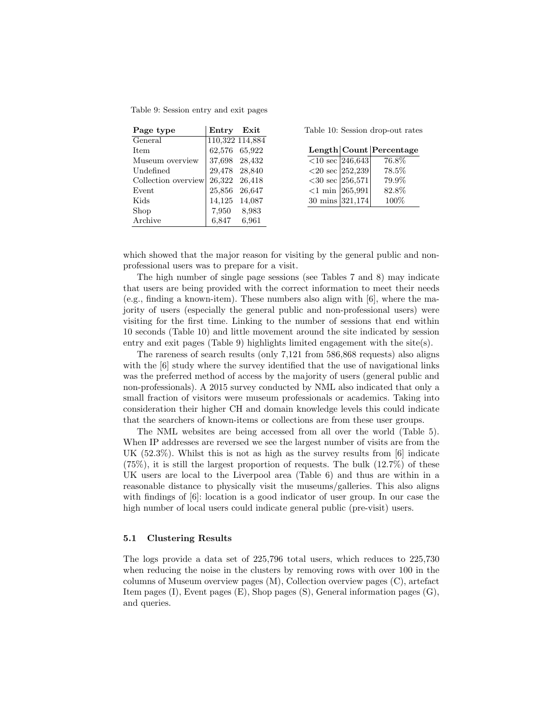| Page type           | Entry         | Exit            |
|---------------------|---------------|-----------------|
| General             |               | 110,322 114,884 |
| <b>Item</b>         | 62,576        | 65,922          |
| Museum overview     | 37,698 28,432 |                 |
| Undefined           | 29,478        | 28,840          |
| Collection overview | 26,322        | 26,418          |
| Event               | 25,856        | 26,647          |
| Kids                | 14,125        | 14,087          |
| Shop                | 7,950         | 8,983           |
| Archive             | 6,847         | 6,961           |

Table 10: Session drop-out rates

|                              | Length Count Percentage |
|------------------------------|-------------------------|
| $<$ 10 sec $\boxed{246,643}$ | 76.8%                   |
| $<$ 20 sec 252,239           | 78.5%                   |
| $<$ 30 sec   256,571         | 79.9%                   |
| $<$ 1 min  265,991           | 82.8%                   |
| 30 mins $ 321,174 $          | 100\%                   |

which showed that the major reason for visiting by the general public and nonprofessional users was to prepare for a visit.

The high number of single page sessions (see Tables 7 and 8) may indicate that users are being provided with the correct information to meet their needs (e.g., finding a known-item). These numbers also align with [6], where the majority of users (especially the general public and non-professional users) were visiting for the first time. Linking to the number of sessions that end within 10 seconds (Table 10) and little movement around the site indicated by session entry and exit pages (Table 9) highlights limited engagement with the site(s).

The rareness of search results (only 7,121 from 586,868 requests) also aligns with the  $[6]$  study where the survey identified that the use of navigational links was the preferred method of access by the majority of users (general public and non-professionals). A 2015 survey conducted by NML also indicated that only a small fraction of visitors were museum professionals or academics. Taking into consideration their higher CH and domain knowledge levels this could indicate that the searchers of known-items or collections are from these user groups.

The NML websites are being accessed from all over the world (Table 5). When IP addresses are reversed we see the largest number of visits are from the UK (52.3%). Whilst this is not as high as the survey results from [6] indicate  $(75\%)$ , it is still the largest proportion of requests. The bulk  $(12.7\%)$  of these UK users are local to the Liverpool area (Table 6) and thus are within in a reasonable distance to physically visit the museums/galleries. This also aligns with findings of [6]: location is a good indicator of user group. In our case the high number of local users could indicate general public (pre-visit) users.

### 5.1 Clustering Results

The logs provide a data set of 225,796 total users, which reduces to 225,730 when reducing the noise in the clusters by removing rows with over 100 in the columns of Museum overview pages (M), Collection overview pages (C), artefact Item pages (I), Event pages (E), Shop pages (S), General information pages (G), and queries.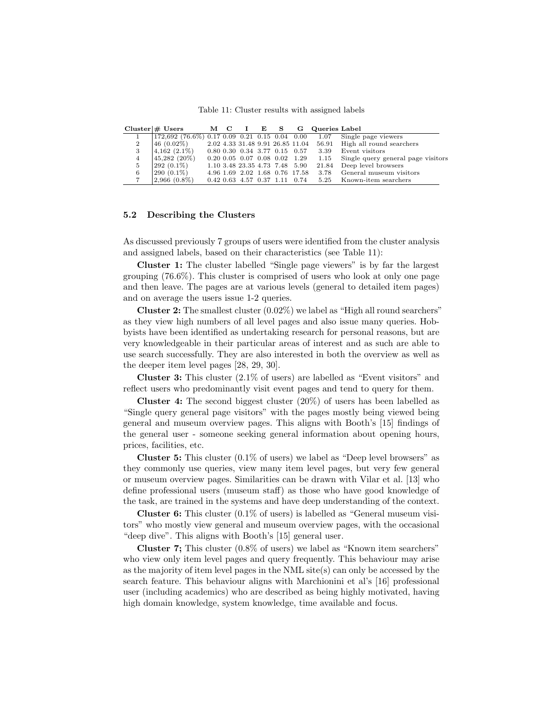Table 11: Cluster results with assigned labels

|                | $Cluster   #$ Users                             |  | MCIES                                |  |                                           | G Queries Label                                  |                                         |
|----------------|-------------------------------------------------|--|--------------------------------------|--|-------------------------------------------|--------------------------------------------------|-----------------------------------------|
|                | $172,692$ (76.6%) 0.17 0.09 0.21 0.15 0.04 0.00 |  |                                      |  |                                           |                                                  | 1.07 Single page viewers                |
| $\overline{2}$ | 46 (0.02%)                                      |  |                                      |  | 2.02 4.33 31.48 9.91 26.85 11.04          |                                                  | 56.91 High all round searchers          |
| 3              | $4,162(2.1\%)$                                  |  |                                      |  |                                           | $0.80$ $0.30$ $0.34$ $3.77$ $0.15$ $0.57$ $3.39$ | Event visitors                          |
| $\overline{4}$ | 45,282 (20%)                                    |  | $0.20\ 0.05\ 0.07\ 0.08\ 0.02\ 1.29$ |  |                                           |                                                  | 1.15 Single query general page visitors |
| 5              | $ 292 \; (0.1\%)$                               |  | 1.10 3.48 23.35 4.73 7.48 5.90       |  |                                           |                                                  | 21.84 Deep level browsers               |
| 6              | $ 290(0.1\%) $                                  |  |                                      |  |                                           | 4.96 1.69 2.02 1.68 0.76 17.58 3.78              | General museum visitors                 |
|                | $ 2,966(0.8\%)$                                 |  |                                      |  | $0.42$ $0.63$ $4.57$ $0.37$ $1.11$ $0.74$ |                                                  | 5.25 Known-item searchers               |

### 5.2 Describing the Clusters

As discussed previously 7 groups of users were identified from the cluster analysis and assigned labels, based on their characteristics (see Table 11):

Cluster 1: The cluster labelled "Single page viewers" is by far the largest grouping (76.6%). This cluster is comprised of users who look at only one page and then leave. The pages are at various levels (general to detailed item pages) and on average the users issue 1-2 queries.

**Cluster 2:** The smallest cluster  $(0.02\%)$  we label as "High all round searchers" as they view high numbers of all level pages and also issue many queries. Hobbyists have been identified as undertaking research for personal reasons, but are very knowledgeable in their particular areas of interest and as such are able to use search successfully. They are also interested in both the overview as well as the deeper item level pages [28, 29, 30].

Cluster 3: This cluster (2.1% of users) are labelled as "Event visitors" and reflect users who predominantly visit event pages and tend to query for them.

Cluster 4: The second biggest cluster (20%) of users has been labelled as "Single query general page visitors" with the pages mostly being viewed being general and museum overview pages. This aligns with Booth's [15] findings of the general user - someone seeking general information about opening hours, prices, facilities, etc.

**Cluster 5:** This cluster  $(0.1\% \text{ of users})$  we label as "Deep level browsers" as they commonly use queries, view many item level pages, but very few general or museum overview pages. Similarities can be drawn with Vilar et al. [13] who define professional users (museum staff) as those who have good knowledge of the task, are trained in the systems and have deep understanding of the context.

**Cluster 6:** This cluster  $(0.1\%$  of users) is labelled as "General museum visitors" who mostly view general and museum overview pages, with the occasional "deep dive". This aligns with Booth's [15] general user.

Cluster 7; This cluster (0.8% of users) we label as "Known item searchers" who view only item level pages and query frequently. This behaviour may arise as the majority of item level pages in the NML site(s) can only be accessed by the search feature. This behaviour aligns with Marchionini et al's [16] professional user (including academics) who are described as being highly motivated, having high domain knowledge, system knowledge, time available and focus.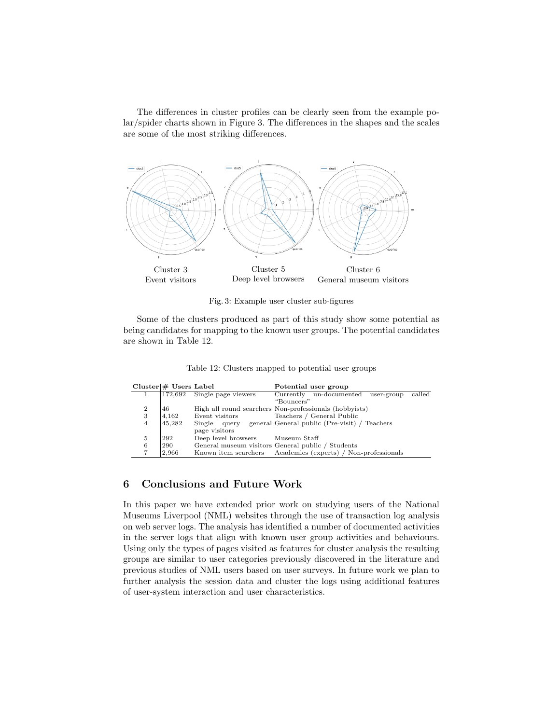The differences in cluster profiles can be clearly seen from the example polar/spider charts shown in Figure 3. The differences in the shapes and the scales are some of the most striking differences.



Fig. 3: Example user cluster sub-figures

Some of the clusters produced as part of this study show some potential as being candidates for mapping to the known user groups. The potential candidates are shown in Table 12.

| Table 12: Clusters mapped to potential user groups |  |  |
|----------------------------------------------------|--|--|
|----------------------------------------------------|--|--|

|                | Cluster   # Users Label |                                  | Potential user group                                         |
|----------------|-------------------------|----------------------------------|--------------------------------------------------------------|
|                |                         | 172,692 Single page viewers      | called<br>Currently un-documented<br>user-group              |
|                |                         |                                  | "Bouncers"                                                   |
| $\overline{2}$ | 46                      |                                  | High all round searchers Non-professionals (hobbyists)       |
| 3              | 4.162                   | Event visitors                   | Teachers / General Public                                    |
| $\overline{4}$ | 45,282                  |                                  | Single query general General public (Pre-visit) / Teachers   |
|                |                         | page visitors                    |                                                              |
| 5              | 292                     | Deep level browsers Museum Staff |                                                              |
| 6              | 290                     |                                  | General museum visitors General public / Students            |
| ד              | 2.966                   |                                  | Known item searchers Academics (experts) / Non-professionals |

# 6 Conclusions and Future Work

In this paper we have extended prior work on studying users of the National Museums Liverpool (NML) websites through the use of transaction log analysis on web server logs. The analysis has identified a number of documented activities in the server logs that align with known user group activities and behaviours. Using only the types of pages visited as features for cluster analysis the resulting groups are similar to user categories previously discovered in the literature and previous studies of NML users based on user surveys. In future work we plan to further analysis the session data and cluster the logs using additional features of user-system interaction and user characteristics.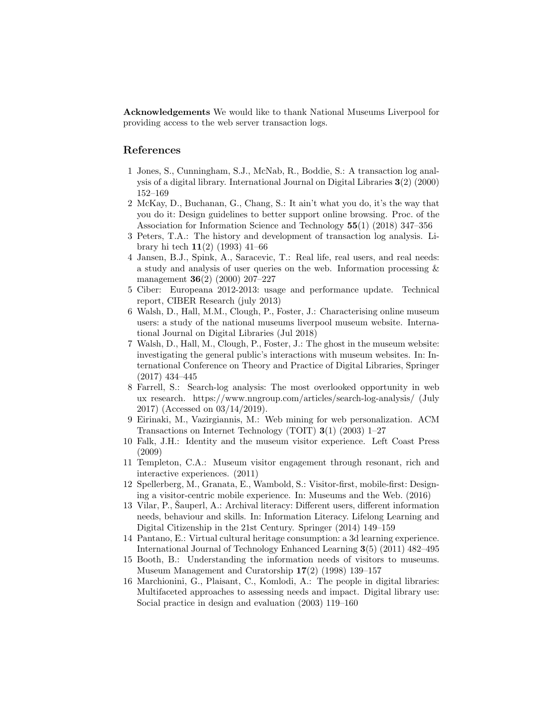Acknowledgements We would like to thank National Museums Liverpool for providing access to the web server transaction logs.

# References

- 1 Jones, S., Cunningham, S.J., McNab, R., Boddie, S.: A transaction log analysis of a digital library. International Journal on Digital Libraries 3(2) (2000) 152–169
- 2 McKay, D., Buchanan, G., Chang, S.: It ain't what you do, it's the way that you do it: Design guidelines to better support online browsing. Proc. of the Association for Information Science and Technology 55(1) (2018) 347–356
- 3 Peters, T.A.: The history and development of transaction log analysis. Library hi tech 11(2) (1993) 41–66
- 4 Jansen, B.J., Spink, A., Saracevic, T.: Real life, real users, and real needs: a study and analysis of user queries on the web. Information processing & management 36(2) (2000) 207–227
- 5 Ciber: Europeana 2012-2013: usage and performance update. Technical report, CIBER Research (july 2013)
- 6 Walsh, D., Hall, M.M., Clough, P., Foster, J.: Characterising online museum users: a study of the national museums liverpool museum website. International Journal on Digital Libraries (Jul 2018)
- 7 Walsh, D., Hall, M., Clough, P., Foster, J.: The ghost in the museum website: investigating the general public's interactions with museum websites. In: International Conference on Theory and Practice of Digital Libraries, Springer (2017) 434–445
- 8 Farrell, S.: Search-log analysis: The most overlooked opportunity in web ux research. https://www.nngroup.com/articles/search-log-analysis/ (July 2017) (Accessed on 03/14/2019).
- 9 Eirinaki, M., Vazirgiannis, M.: Web mining for web personalization. ACM Transactions on Internet Technology (TOIT) 3(1) (2003) 1–27
- 10 Falk, J.H.: Identity and the museum visitor experience. Left Coast Press (2009)
- 11 Templeton, C.A.: Museum visitor engagement through resonant, rich and interactive experiences. (2011)
- 12 Spellerberg, M., Granata, E., Wambold, S.: Visitor-first, mobile-first: Designing a visitor-centric mobile experience. In: Museums and the Web. (2016)
- 13 Vilar, P., Sauperl, A.: Archival literacy: Different users, different information needs, behaviour and skills. In: Information Literacy. Lifelong Learning and Digital Citizenship in the 21st Century. Springer (2014) 149–159
- 14 Pantano, E.: Virtual cultural heritage consumption: a 3d learning experience. International Journal of Technology Enhanced Learning 3(5) (2011) 482–495
- 15 Booth, B.: Understanding the information needs of visitors to museums. Museum Management and Curatorship 17(2) (1998) 139–157
- 16 Marchionini, G., Plaisant, C., Komlodi, A.: The people in digital libraries: Multifaceted approaches to assessing needs and impact. Digital library use: Social practice in design and evaluation (2003) 119–160